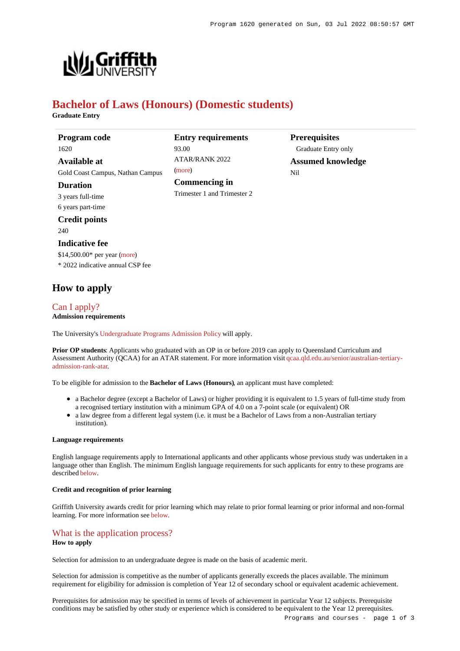**Prerequisites** Graduate Entry only **Assumed knowledge**

Nil



# **Bachelor of Laws (Honours) (Domestic students)**

93.00

[\(more](https://www148.griffith.edu.au/programs-courses/Program/1620/HowToApply/Domestic#tac-entry-requirements))

**Entry requirements**

 $ATAP/RANK 2022$ 

**Commencing in** Trimester 1 and Trimester 2

**Graduate Entry**

**Program code** 1620 **Available at** Gold Coast Campus, Nathan Campus

**Duration**

3 years full-time 6 years part-time

## **Credit points**

240

#### **Indicative fee**

\$14,500.00\* per year [\(more](https://www148.griffith.edu.au/programs-courses/Program/1620/Overview/Domestic#fees)) \* 2022 indicative annual CSP fee

## **How to apply**

#### [Can I apply?](https://www148.griffith.edu.au/programs-courses/Program/1620/HowToApply/Domestic#can-i-apply) **Admission requirements**

The University's [Undergraduate Programs Admission Policy](https://sharepointpubstor.blob.core.windows.net/policylibrary-prod/Undergraduate Programs Admission Policy.pdf) will apply.

**Prior OP students**: Applicants who graduated with an OP in or before 2019 can apply to Queensland Curriculum and Assessment Authority (QCAA) for an ATAR statement. For more information visit [qcaa.qld.edu.au/senior/australian-tertiary](http://qcaa.qld.edu.au/senior/australian-tertiary-admission-rank-atar)[admission-rank-atar](http://qcaa.qld.edu.au/senior/australian-tertiary-admission-rank-atar).

To be eligible for admission to the **Bachelor of Laws (Honours)**, an applicant must have completed:

- a Bachelor degree (except a Bachelor of Laws) or higher providing it is equivalent to 1.5 years of full-time study from a recognised tertiary institution with a minimum GPA of 4.0 on a 7-point scale (or equivalent) OR
- a law degree from a different legal system (i.e. it must be a Bachelor of Laws from a non-Australian tertiary institution).

#### **Language requirements**

English language requirements apply to International applicants and other applicants whose previous study was undertaken in a language other than English. The minimum English language requirements for such applicants for entry to these programs are described [below](https://www148.griffith.edu.au/programs-courses/Program/1620/HowToApply/Domestic#language).

#### **Credit and recognition of prior learning**

Griffith University awards credit for prior learning which may relate to prior formal learning or prior informal and non-formal learning. For more information see [below](https://www148.griffith.edu.au/programs-courses/Program/1620/HowToApply/Domestic#credit).

### [What is the application process?](https://www148.griffith.edu.au/programs-courses/Program/1620/HowToApply/Domestic#process) **How to apply**

Selection for admission to an undergraduate degree is made on the basis of academic merit.

Selection for admission is competitive as the number of applicants generally exceeds the places available. The minimum requirement for eligibility for admission is completion of Year 12 of secondary school or equivalent academic achievement.

Prerequisites for admission may be specified in terms of levels of achievement in particular Year 12 subjects. Prerequisite conditions may be satisfied by other study or experience which is considered to be equivalent to the Year 12 prerequisites.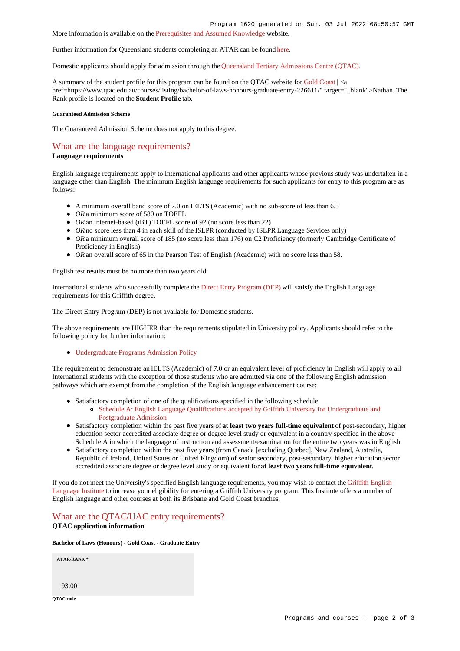More information is available on the [Prerequisites and Assumed Knowledge](https://www.griffith.edu.au/apply/prerequisites-assumed-knowledge) website.

Further information for Queensland students completing an ATAR can be found [here](https://www.griffith.edu.au/apply/undergraduate-study/high-school-students/admission-in-2021).

Domestic applicants should apply for admission through the [Queensland Tertiary Admissions Centre \(QTAC\)](http://www.qtac.edu.au/).

A summary of the student profile for this program can be found on the OTAC website for [Gold Coast](https://www.qtac.edu.au/courses/listing/bachelor-of-laws-honours-graduate-entry-236611/)  $| \le a$ href=https://www.qtac.edu.au/courses/listing/bachelor-of-laws-honours-graduate-entry-226611/" target=" blank">Nathan. The Rank profile is located on the **Student Profile** tab.

#### **Guaranteed Admission Scheme**

The Guaranteed Admission Scheme does not apply to this degree.

## [What are the language requirements?](https://www148.griffith.edu.au/programs-courses/Program/1620/HowToApply/Domestic#language)

#### **Language requirements**

English language requirements apply to International applicants and other applicants whose previous study was undertaken in a language other than English. The minimum English language requirements for such applicants for entry to this program are as follows:

- A minimum overall band score of 7.0 on IELTS (Academic) with no sub-score of less than 6.5
- OR a minimum score of 580 on TOEFL
- *OR* an internet-based (iBT) TOEFL score of 92 (no score less than 22)
- OR no score less than 4 in each skill of the ISLPR (conducted by ISLPR Language Services only)
- OR a minimum overall score of 185 (no score less than 176) on C2 Proficiency (formerly Cambridge Certificate of Proficiency in English)
- *OR* an overall score of 65 in the Pearson Test of English (Academic) with no score less than 58.

English test results must be no more than two years old.

International students who successfully complete the [Direct Entry Program \(DEP\)](https://www.griffith.edu.au/international/griffith-english-language-institute/courses/direct-entry-program) will satisfy the English Language requirements for this Griffith degree.

The Direct Entry Program (DEP) is not available for Domestic students.

The above requirements are HIGHER than the requirements stipulated in University policy. Applicants should refer to the following policy for further information:

[Undergraduate Programs Admission Policy](http://policies.griffith.edu.au/pdf/Undergraduate Programs Admission Policy.pdf)

The requirement to demonstrate an IELTS (Academic) of 7.0 or an equivalent level of proficiency in English will apply to all International students with the exception of those students who are admitted via one of the following English admission pathways which are exempt from the completion of the English language enhancement course:

- Satisfactory completion of one of the qualifications specified in the following schedule:
	- [Schedule A: English Language Qualifications accepted by Griffith University for Undergraduate and](https://policies.griffith.edu.au/pdf/Admission-Policy-Schedule-A.pdf) [Postgraduate Admission](https://policies.griffith.edu.au/pdf/Admission-Policy-Schedule-A.pdf)
- Satisfactory completion within the past five years of **at least two years full-time equivalent** of post-secondary, higher education sector accredited associate degree or degree level study or equivalent in a country specified in the above Schedule A in which the language of instruction and assessment/examination for the entire two years was in English.
- Satisfactory completion within the past five years (from Canada [excluding Quebec], New Zealand, Australia, Republic of Ireland, United States or United Kingdom) of senior secondary, post-secondary, higher education sector accredited associate degree or degree level study or equivalent for **at least two years full-time equivalent**.

If you do not meet the University's specified English language requirements, you may wish to contact the [Griffith English](https://www.griffith.edu.au/international/griffith-english-language-institute) [Language Institute](https://www.griffith.edu.au/international/griffith-english-language-institute) to increase your eligibility for entering a Griffith University program. This Institute offers a number of English language and other courses at both its Brisbane and Gold Coast branches.

### [What are the QTAC/UAC entry requirements?](https://www148.griffith.edu.au/programs-courses/Program/1620/HowToApply/Domestic#tac-entry-requirements) **QTAC application information**

#### **Bachelor of Laws (Honours) - Gold Coast - Graduate Entry**

**ATAR/RANK \***

93.00

**QTAC code**